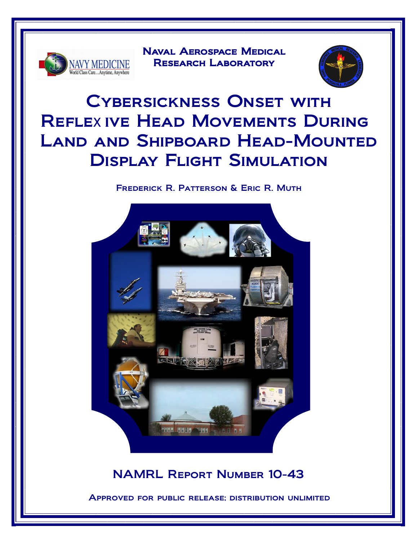

Naval Aerospace Medical RESEARCH LABORATORY



# Cybersickness Onset with Reflexive Head Movements During Land and Shipboard Head-Mounted Display Flight Simulation

### Frederick R. Patterson & Eric R. Muth



## NAMRL Report Number 10-43

Approved for public release; distribution unlimited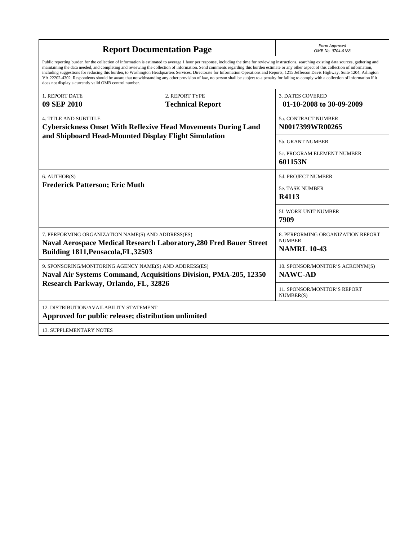| <b>Report Documentation Page</b>                                                                                                                                                                                                                                                                                                                                                                                                                                                                                                                                                                                                                                                                                                                                                                                                                                   | Form Approved<br>OMB No. 0704-0188        |                                                                          |  |  |  |
|--------------------------------------------------------------------------------------------------------------------------------------------------------------------------------------------------------------------------------------------------------------------------------------------------------------------------------------------------------------------------------------------------------------------------------------------------------------------------------------------------------------------------------------------------------------------------------------------------------------------------------------------------------------------------------------------------------------------------------------------------------------------------------------------------------------------------------------------------------------------|-------------------------------------------|--------------------------------------------------------------------------|--|--|--|
| Public reporting burden for the collection of information is estimated to average 1 hour per response, including the time for reviewing instructions, searching existing data sources, gathering and<br>maintaining the data needed, and completing and reviewing the collection of information. Send comments regarding this burden estimate or any other aspect of this collection of information,<br>including suggestions for reducing this burden, to Washington Headquarters Services, Directorate for Information Operations and Reports, 1215 Jefferson Davis Highway, Suite 1204, Arlington<br>VA 22202-4302. Respondents should be aware that notwithstanding any other provision of law, no person shall be subject to a penalty for failing to comply with a collection of information if it<br>does not display a currently valid OMB control number. |                                           |                                                                          |  |  |  |
| <b>1. REPORT DATE</b><br>09 SEP 2010                                                                                                                                                                                                                                                                                                                                                                                                                                                                                                                                                                                                                                                                                                                                                                                                                               | 2. REPORT TYPE<br><b>Technical Report</b> | <b>3. DATES COVERED</b><br>01-10-2008 to 30-09-2009                      |  |  |  |
| <b>4. TITLE AND SUBTITLE</b><br><b>Cybersickness Onset With Reflexive Head Movements During Land</b><br>and Shipboard Head-Mounted Display Flight Simulation                                                                                                                                                                                                                                                                                                                                                                                                                                                                                                                                                                                                                                                                                                       |                                           | 5a. CONTRACT NUMBER<br>N0017399WR00265                                   |  |  |  |
|                                                                                                                                                                                                                                                                                                                                                                                                                                                                                                                                                                                                                                                                                                                                                                                                                                                                    |                                           | 5b. GRANT NUMBER                                                         |  |  |  |
|                                                                                                                                                                                                                                                                                                                                                                                                                                                                                                                                                                                                                                                                                                                                                                                                                                                                    |                                           | 5c. PROGRAM ELEMENT NUMBER<br>601153N                                    |  |  |  |
| 6. AUTHOR(S)                                                                                                                                                                                                                                                                                                                                                                                                                                                                                                                                                                                                                                                                                                                                                                                                                                                       |                                           | <b>5d. PROJECT NUMBER</b>                                                |  |  |  |
| <b>Frederick Patterson; Eric Muth</b>                                                                                                                                                                                                                                                                                                                                                                                                                                                                                                                                                                                                                                                                                                                                                                                                                              | 5e. TASK NUMBER<br>R4113                  |                                                                          |  |  |  |
|                                                                                                                                                                                                                                                                                                                                                                                                                                                                                                                                                                                                                                                                                                                                                                                                                                                                    |                                           | 5f. WORK UNIT NUMBER<br>7909                                             |  |  |  |
| 7. PERFORMING ORGANIZATION NAME(S) AND ADDRESS(ES)<br><b>Naval Aerospace Medical Research Laboratory, 280 Fred Bauer Street</b><br>Building 1811, Pensacola, FL, 32503                                                                                                                                                                                                                                                                                                                                                                                                                                                                                                                                                                                                                                                                                             |                                           | 8. PERFORMING ORGANIZATION REPORT<br><b>NUMBER</b><br><b>NAMRL 10-43</b> |  |  |  |
| 9. SPONSORING/MONITORING AGENCY NAME(S) AND ADDRESS(ES)<br><b>Naval Air Systems Command, Acquisitions Division, PMA-205, 12350</b><br>Research Parkway, Orlando, FL, 32826                                                                                                                                                                                                                                                                                                                                                                                                                                                                                                                                                                                                                                                                                         |                                           | 10. SPONSOR/MONITOR'S ACRONYM(S)<br><b>NAWC-AD</b>                       |  |  |  |
|                                                                                                                                                                                                                                                                                                                                                                                                                                                                                                                                                                                                                                                                                                                                                                                                                                                                    |                                           | 11. SPONSOR/MONITOR'S REPORT<br>NUMBER(S)                                |  |  |  |
| 12. DISTRIBUTION/AVAILABILITY STATEMENT<br>Approved for public release; distribution unlimited                                                                                                                                                                                                                                                                                                                                                                                                                                                                                                                                                                                                                                                                                                                                                                     |                                           |                                                                          |  |  |  |
| <b>13. SUPPLEMENTARY NOTES</b>                                                                                                                                                                                                                                                                                                                                                                                                                                                                                                                                                                                                                                                                                                                                                                                                                                     |                                           |                                                                          |  |  |  |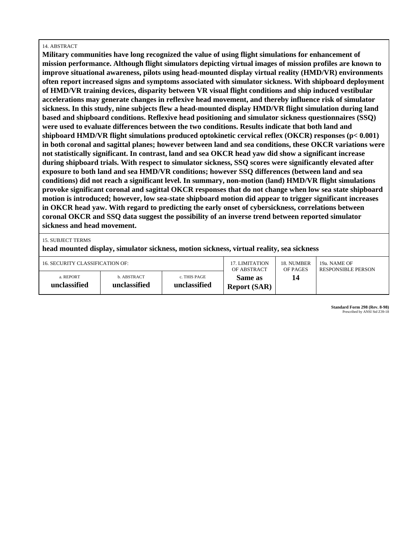#### 14. ABSTRACT

**Military communities have long recognized the value of using flight simulations for enhancement of mission performance. Although flight simulators depicting virtual images of mission profiles are known to improve situational awareness, pilots using head-mounted display virtual reality (HMD/VR) environments often report increased signs and symptoms associated with simulator sickness. With shipboard deployment of HMD/VR training devices, disparity between VR visual flight conditions and ship induced vestibular accelerations may generate changes in reflexive head movement, and thereby influence risk of simulator sickness. In this study, nine subjects flew a head-mounted display HMD/VR flight simulation during land based and shipboard conditions. Reflexive head positioning and simulator sickness questionnaires (SSQ) were used to evaluate differences between the two conditions. Results indicate that both land and shipboard HMD/VR flight simulations produced optokinetic cervical reflex (OKCR) responses (p< 0.001) in both coronal and sagittal planes; however between land and sea conditions, these OKCR variations were not statistically significant. In contrast, land and sea OKCR head yaw did show a significant increase during shipboard trials. With respect to simulator sickness, SSQ scores were significantly elevated after exposure to both land and sea HMD/VR conditions; however SSQ differences (between land and sea conditions) did not reach a significant level. In summary, non-motion (land) HMD/VR flight simulations provoke significant coronal and sagittal OKCR responses that do not change when low sea state shipboard motion is introduced; however, low sea-state shipboard motion did appear to trigger significant increases in OKCR head yaw. With regard to predicting the early onset of cybersickness, correlations between coronal OKCR and SSQ data suggest the possibility of an inverse trend between reported simulator sickness and head movement.**

15. SUBJECT TERMS

**head mounted display, simulator sickness, motion sickness, virtual reality, sea sickness**

| 16. SECURITY CLASSIFICATION OF: |                             |                              | <b>17. LIMITATION</b>          | 18. NUMBER | 19a. NAME OF              |
|---------------------------------|-----------------------------|------------------------------|--------------------------------|------------|---------------------------|
|                                 |                             |                              | OF ABSTRACT                    | OF PAGES   | <b>RESPONSIBLE PERSON</b> |
| a. REPORT<br>unclassified       | b. ABSTRACT<br>unclassified | c. THIS PAGE<br>unclassified | Same as<br><b>Report (SAR)</b> | 14         |                           |

**Standard Form 298 (Rev. 8-98)** Prescribed by ANSI Std Z39-18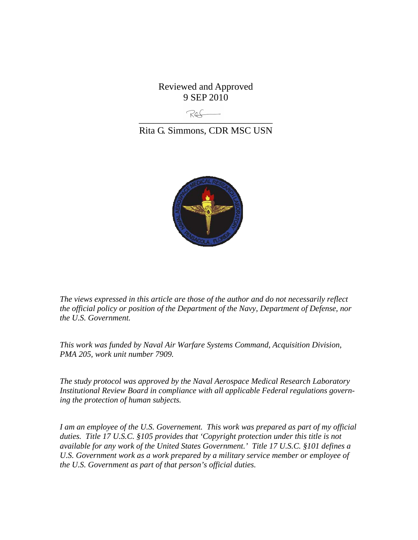Reviewed and Approved 9 SEP 2010

\_\_\_\_\_\_\_\_\_\_\_\_\_\_\_\_\_\_\_\_\_\_\_\_\_\_\_\_

Rita G. Simmons, CDR MSC USN



*The views expressed in this article are those of the author and do not necessarily reflect the official policy or position of the Department of the Navy, Department of Defense, nor the U.S. Government.* 

*This work was funded by Naval Air Warfare Systems Command, Acquisition Division, PMA 205, work unit number 7909.* 

*The study protocol was approved by the Naval Aerospace Medical Research Laboratory Institutional Review Board in compliance with all applicable Federal regulations governing the protection of human subjects.* 

*I am an employee of the U.S. Governement. This work was prepared as part of my official duties. Title 17 U.S.C. §105 provides that 'Copyright protection under this title is not available for any work of the United States Government.' Title 17 U.S.C. §101 defines a U.S. Government work as a work prepared by a military service member or employee of the U.S. Government as part of that person's official duties.*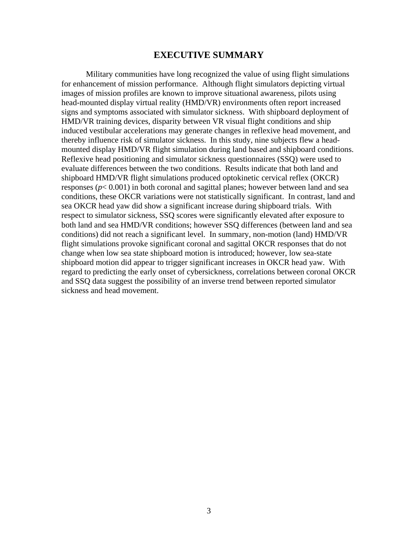#### **EXECUTIVE SUMMARY**

Military communities have long recognized the value of using flight simulations for enhancement of mission performance. Although flight simulators depicting virtual images of mission profiles are known to improve situational awareness, pilots using head-mounted display virtual reality (HMD/VR) environments often report increased signs and symptoms associated with simulator sickness. With shipboard deployment of HMD/VR training devices, disparity between VR visual flight conditions and ship induced vestibular accelerations may generate changes in reflexive head movement, and thereby influence risk of simulator sickness. In this study, nine subjects flew a headmounted display HMD/VR flight simulation during land based and shipboard conditions. Reflexive head positioning and simulator sickness questionnaires (SSQ) were used to evaluate differences between the two conditions. Results indicate that both land and shipboard HMD/VR flight simulations produced optokinetic cervical reflex (OKCR) responses (*p*< 0.001) in both coronal and sagittal planes; however between land and sea conditions, these OKCR variations were not statistically significant. In contrast, land and sea OKCR head yaw did show a significant increase during shipboard trials. With respect to simulator sickness, SSQ scores were significantly elevated after exposure to both land and sea HMD/VR conditions; however SSQ differences (between land and sea conditions) did not reach a significant level. In summary, non-motion (land) HMD/VR flight simulations provoke significant coronal and sagittal OKCR responses that do not change when low sea state shipboard motion is introduced; however, low sea-state shipboard motion did appear to trigger significant increases in OKCR head yaw. With regard to predicting the early onset of cybersickness, correlations between coronal OKCR and SSQ data suggest the possibility of an inverse trend between reported simulator sickness and head movement.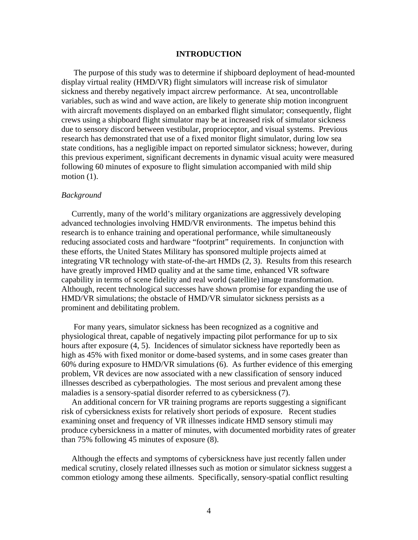#### **INTRODUCTION**

 The purpose of this study was to determine if shipboard deployment of head-mounted display virtual reality (HMD/VR) flight simulators will increase risk of simulator sickness and thereby negatively impact aircrew performance. At sea, uncontrollable variables, such as wind and wave action, are likely to generate ship motion incongruent with aircraft movements displayed on an embarked flight simulator; consequently, flight crews using a shipboard flight simulator may be at increased risk of simulator sickness due to sensory discord between vestibular, proprioceptor, and visual systems. Previous research has demonstrated that use of a fixed monitor flight simulator, during low sea state conditions, has a negligible impact on reported simulator sickness; however, during this previous experiment, significant decrements in dynamic visual acuity were measured following 60 minutes of exposure to flight simulation accompanied with mild ship motion  $(1)$ .

#### *Background*

Currently, many of the world's military organizations are aggressively developing advanced technologies involving HMD/VR environments. The impetus behind this research is to enhance training and operational performance, while simultaneously reducing associated costs and hardware "footprint" requirements. In conjunction with these efforts, the United States Military has sponsored multiple projects aimed at integrating VR technology with state-of-the-art HMDs (2, 3). Results from this research have greatly improved HMD quality and at the same time, enhanced VR software capability in terms of scene fidelity and real world (satellite) image transformation. Although, recent technological successes have shown promise for expanding the use of HMD/VR simulations; the obstacle of HMD/VR simulator sickness persists as a prominent and debilitating problem.

 For many years, simulator sickness has been recognized as a cognitive and physiological threat, capable of negatively impacting pilot performance for up to six hours after exposure (4, 5). Incidences of simulator sickness have reportedly been as high as 45% with fixed monitor or dome-based systems, and in some cases greater than 60% during exposure to HMD/VR simulations (6). As further evidence of this emerging problem, VR devices are now associated with a new classification of sensory induced illnesses described as cyberpathologies. The most serious and prevalent among these maladies is a sensory-spatial disorder referred to as cybersickness (7).

 An additional concern for VR training programs are reports suggesting a significant risk of cybersickness exists for relatively short periods of exposure. Recent studies examining onset and frequency of VR illnesses indicate HMD sensory stimuli may produce cybersickness in a matter of minutes, with documented morbidity rates of greater than 75% following 45 minutes of exposure (8).

 Although the effects and symptoms of cybersickness have just recently fallen under medical scrutiny, closely related illnesses such as motion or simulator sickness suggest a common etiology among these ailments. Specifically, sensory-spatial conflict resulting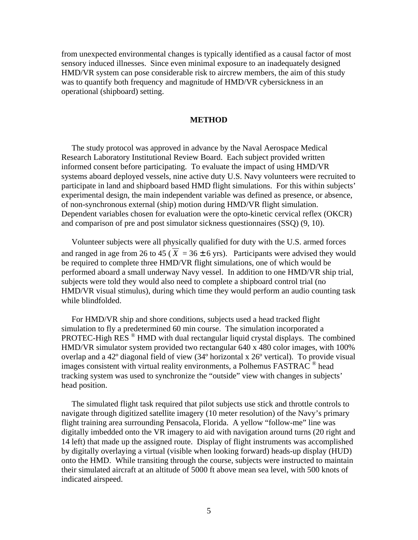from unexpected environmental changes is typically identified as a causal factor of most sensory induced illnesses. Since even minimal exposure to an inadequately designed HMD/VR system can pose considerable risk to aircrew members, the aim of this study was to quantify both frequency and magnitude of HMD/VR cybersickness in an operational (shipboard) setting.

#### **METHOD**

The study protocol was approved in advance by the Naval Aerospace Medical Research Laboratory Institutional Review Board. Each subject provided written informed consent before participating. To evaluate the impact of using HMD/VR systems aboard deployed vessels, nine active duty U.S. Navy volunteers were recruited to participate in land and shipboard based HMD flight simulations. For this within subjects' experimental design, the main independent variable was defined as presence, or absence, of non-synchronous external (ship) motion during HMD/VR flight simulation. Dependent variables chosen for evaluation were the opto-kinetic cervical reflex (OKCR) and comparison of pre and post simulator sickness questionnaires (SSQ) (9, 10).

 Volunteer subjects were all physically qualified for duty with the U.S. armed forces and ranged in age from 26 to 45 ( $\overline{X}$  = 36  $\pm$  6 yrs). Participants were advised they would be required to complete three HMD/VR flight simulations, one of which would be performed aboard a small underway Navy vessel. In addition to one HMD/VR ship trial, subjects were told they would also need to complete a shipboard control trial (no HMD/VR visual stimulus), during which time they would perform an audio counting task while blindfolded.

 For HMD/VR ship and shore conditions, subjects used a head tracked flight simulation to fly a predetermined 60 min course. The simulation incorporated a PROTEC-High RES ® HMD with dual rectangular liquid crystal displays. The combined HMD/VR simulator system provided two rectangular 640 x 480 color images, with 100% overlap and a 42º diagonal field of view (34º horizontal x 26º vertical). To provide visual images consistent with virtual reality environments, a Polhemus FASTRAC  $^{\circ}$  head tracking system was used to synchronize the "outside" view with changes in subjects' head position.

 The simulated flight task required that pilot subjects use stick and throttle controls to navigate through digitized satellite imagery (10 meter resolution) of the Navy's primary flight training area surrounding Pensacola, Florida. A yellow "follow-me" line was digitally imbedded onto the VR imagery to aid with navigation around turns (20 right and 14 left) that made up the assigned route. Display of flight instruments was accomplished by digitally overlaying a virtual (visible when looking forward) heads-up display (HUD) onto the HMD. While transiting through the course, subjects were instructed to maintain their simulated aircraft at an altitude of 5000 ft above mean sea level, with 500 knots of indicated airspeed.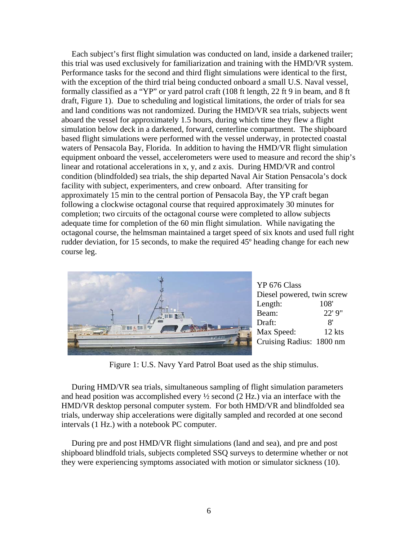Each subject's first flight simulation was conducted on land, inside a darkened trailer; this trial was used exclusively for familiarization and training with the HMD/VR system. Performance tasks for the second and third flight simulations were identical to the first, with the exception of the third trial being conducted onboard a small U.S. Naval vessel, formally classified as a "YP" or yard patrol craft (108 ft length, 22 ft 9 in beam, and 8 ft draft, Figure 1). Due to scheduling and logistical limitations, the order of trials for sea and land conditions was not randomized. During the HMD/VR sea trials, subjects went aboard the vessel for approximately 1.5 hours, during which time they flew a flight simulation below deck in a darkened, forward, centerline compartment. The shipboard based flight simulations were performed with the vessel underway, in protected coastal waters of Pensacola Bay, Florida. In addition to having the HMD/VR flight simulation equipment onboard the vessel, accelerometers were used to measure and record the ship's linear and rotational accelerations in x, y, and z axis. During HMD/VR and control condition (blindfolded) sea trials, the ship departed Naval Air Station Pensacola's dock facility with subject, experimenters, and crew onboard. After transiting for approximately 15 min to the central portion of Pensacola Bay, the YP craft began following a clockwise octagonal course that required approximately 30 minutes for completion; two circuits of the octagonal course were completed to allow subjects adequate time for completion of the 60 min flight simulation. While navigating the octagonal course, the helmsman maintained a target speed of six knots and used full right rudder deviation, for 15 seconds, to make the required 45º heading change for each new course leg.



YP 676 Class Diesel powered, twin screw Length: 108' Beam: 22' 9" Draft: 8' Max Speed: 12 kts Cruising Radius: 1800 nm

Figure 1: U.S. Navy Yard Patrol Boat used as the ship stimulus.

 During HMD/VR sea trials, simultaneous sampling of flight simulation parameters and head position was accomplished every ½ second (2 Hz.) via an interface with the HMD/VR desktop personal computer system. For both HMD/VR and blindfolded sea trials, underway ship accelerations were digitally sampled and recorded at one second intervals (1 Hz.) with a notebook PC computer.

 During pre and post HMD/VR flight simulations (land and sea), and pre and post shipboard blindfold trials, subjects completed SSQ surveys to determine whether or not they were experiencing symptoms associated with motion or simulator sickness (10).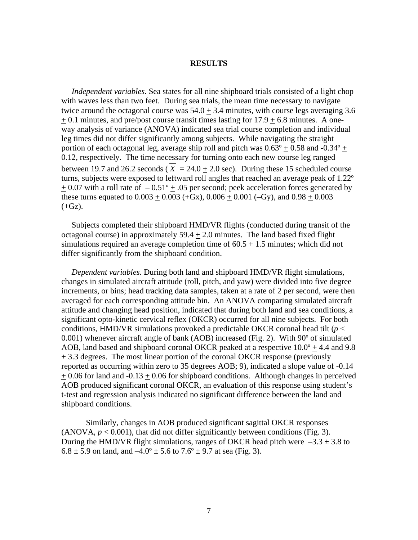#### **RESULTS**

 *Independent variables*. Sea states for all nine shipboard trials consisted of a light chop with waves less than two feet. During sea trials, the mean time necessary to navigate twice around the octagonal course was  $54.0 + 3.4$  minutes, with course legs averaging 3.6  $+ 0.1$  minutes, and pre/post course transit times lasting for  $17.9 + 6.8$  minutes. A oneway analysis of variance (ANOVA) indicated sea trial course completion and individual leg times did not differ significantly among subjects. While navigating the straight portion of each octagonal leg, average ship roll and pitch was  $0.63^{\circ} + 0.58$  and  $-0.34^{\circ} +$ 0.12, respectively. The time necessary for turning onto each new course leg ranged between 19.7 and 26.2 seconds ( $X = 24.0 + 2.0$  sec). During these 15 scheduled course turns, subjects were exposed to leftward roll angles that reached an average peak of 1.22º  $\pm$  0.07 with a roll rate of  $-0.51^{\circ}$  + .05 per second; peek acceleration forces generated by these turns equated to  $0.003 + 0.003$  (+Gx),  $0.006 + 0.001$  (-Gy), and  $0.98 + 0.003$  $(+Gz).$ 

 Subjects completed their shipboard HMD/VR flights (conducted during transit of the octagonal course) in approximately  $59.4 \pm 2.0$  minutes. The land based fixed flight simulations required an average completion time of  $60.5 + 1.5$  minutes; which did not differ significantly from the shipboard condition.

 *Dependent variables*. During both land and shipboard HMD/VR flight simulations, changes in simulated aircraft attitude (roll, pitch, and yaw) were divided into five degree increments, or bins; head tracking data samples, taken at a rate of 2 per second, were then averaged for each corresponding attitude bin. An ANOVA comparing simulated aircraft attitude and changing head position, indicated that during both land and sea conditions, a significant opto-kinetic cervical reflex (OKCR) occurred for all nine subjects. For both conditions, HMD/VR simulations provoked a predictable OKCR coronal head tilt ( $p <$ 0.001) whenever aircraft angle of bank (AOB) increased (Fig. 2). With 90º of simulated AOB, land based and shipboard coronal OKCR peaked at a respective  $10.0^{\circ} + 4.4$  and 9.8 + 3.3 degrees. The most linear portion of the coronal OKCR response (previously reported as occurring within zero to 35 degrees AOB; 9), indicated a slope value of -0.14  $+ 0.06$  for land and  $-0.13 + 0.06$  for shipboard conditions. Although changes in perceived AOB produced significant coronal OKCR, an evaluation of this response using student's t-test and regression analysis indicated no significant difference between the land and shipboard conditions.

Similarly, changes in AOB produced significant sagittal OKCR responses (ANOVA,  $p < 0.001$ ), that did not differ significantly between conditions (Fig. 3). During the HMD/VR flight simulations, ranges of OKCR head pitch were  $-3.3 \pm 3.8$  to  $6.8 \pm 5.9$  on land, and  $-4.0^{\circ} \pm 5.6$  to  $7.6^{\circ} \pm 9.7$  at sea (Fig. 3).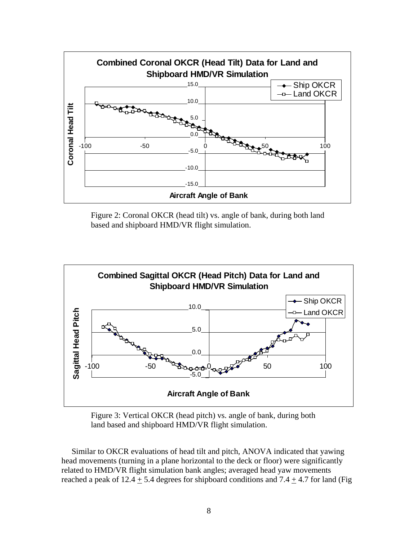

Figure 2: Coronal OKCR (head tilt) vs. angle of bank, during both land based and shipboard HMD/VR flight simulation.



Figure 3: Vertical OKCR (head pitch) vs. angle of bank, during both land based and shipboard HMD/VR flight simulation.

 Similar to OKCR evaluations of head tilt and pitch, ANOVA indicated that yawing head movements (turning in a plane horizontal to the deck or floor) were significantly related to HMD/VR flight simulation bank angles; averaged head yaw movements reached a peak of 12.4  $\pm$  5.4 degrees for shipboard conditions and 7.4  $\pm$  4.7 for land (Fig.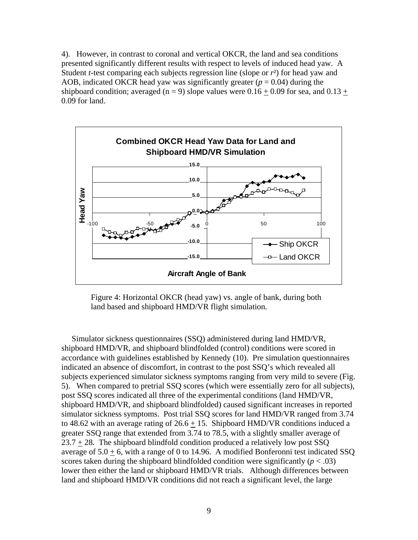4). However, in contrast to coronal and vertical OKCR, the land and sea conditions presented significantly different results with respect to levels of induced head yaw. A Student *t*-test comparing each subjects regression line (slope or  $r<sup>2</sup>$ ) for head yaw and AOB, indicated OKCR head yaw was significantly greater  $(p = 0.04)$  during the shipboard condition; averaged (n = 9) slope values were  $0.16 + 0.09$  for sea, and  $0.13 +$ 0.09 for land.



Figure 4: Horizontal OKCR (head yaw) vs. angle of bank, during both land based and shipboard HMD/VR flight simulation.

 Simulator sickness questionnaires (SSQ) administered during land HMD/VR, shipboard HMD/VR, and shipboard blindfolded (control) conditions were scored in accordance with guidelines established by Kennedy (10). Pre simulation questionnaires indicated an absence of discomfort, in contrast to the post SSQ's which revealed all subjects experienced simulator sickness symptoms ranging from very mild to severe (Fig. 5). When compared to pretrial SSQ scores (which were essentially zero for all subjects), post SSQ scores indicated all three of the experimental conditions (land HMD/VR, shipboard HMD/VR, and shipboard blindfolded) caused significant increases in reported simulator sickness symptoms. Post trial SSQ scores for land HMD/VR ranged from 3.74 to 48.62 with an average rating of  $26.6 \pm 15$ . Shipboard HMD/VR conditions induced a greater SSQ range that extended from 3.74 to 78.5, with a slightly smaller average of  $23.7 + 28$ . The shipboard blindfold condition produced a relatively low post SSQ average of  $5.0 \pm 6$ , with a range of 0 to 14.96. A modified Bonferonni test indicated SSQ scores taken during the shipboard blindfolded condition were significantly  $(p < .03)$ lower then either the land or shipboard HMD/VR trials. Although differences between land and shipboard HMD/VR conditions did not reach a significant level, the large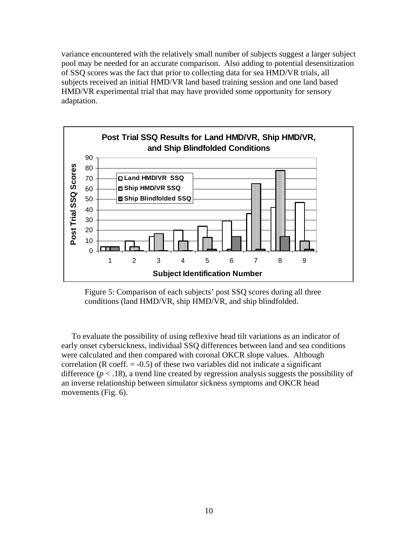variance encountered with the relatively small number of subjects suggest a larger subject pool may be needed for an accurate comparison. Also adding to potential desensitization of SSQ scores was the fact that prior to collecting data for sea HMD/VR trials, all subjects received an initial HMD/VR land based training session and one land based HMD/VR experimental trial that may have provided some opportunity for sensory adaptation.



 Figure 5: Comparison of each subjects' post SSQ scores during all three conditions (land HMD/VR, ship HMD/VR, and ship blindfolded.

 To evaluate the possibility of using reflexive head tilt variations as an indicator of early onset cybersickness, individual SSQ differences between land and sea conditions were calculated and then compared with coronal OKCR slope values. Although correlation ( $R \text{ coeff.} = -0.5$ ) of these two variables did not indicate a significant difference  $(p < .18)$ , a trend line created by regression analysis suggests the possibility of an inverse relationship between simulator sickness symptoms and OKCR head movements (Fig. 6).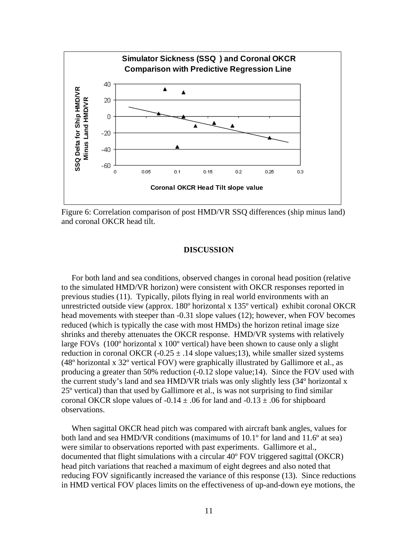

Figure 6: Correlation comparison of post HMD/VR SSQ differences (ship minus land) and coronal OKCR head tilt.

#### **DISCUSSION**

 For both land and sea conditions, observed changes in coronal head position (relative to the simulated HMD/VR horizon) were consistent with OKCR responses reported in previous studies (11). Typically, pilots flying in real world environments with an unrestricted outside view (approx. 180º horizontal x 135º vertical) exhibit coronal OKCR head movements with steeper than -0.31 slope values (12); however, when FOV becomes reduced (which is typically the case with most HMDs) the horizon retinal image size shrinks and thereby attenuates the OKCR response. HMD/VR systems with relatively large FOVs (100º horizontal x 100º vertical) have been shown to cause only a slight reduction in coronal OKCR (-0.25  $\pm$  .14 slope values;13), while smaller sized systems (48º horizontal x 32º vertical FOV) were graphically illustrated by Gallimore et al., as producing a greater than 50% reduction (-0.12 slope value;14). Since the FOV used with the current study's land and sea HMD/VR trials was only slightly less (34º horizontal x 25º vertical) than that used by Gallimore et al., is was not surprising to find similar coronal OKCR slope values of  $-0.14 \pm .06$  for land and  $-0.13 \pm .06$  for shipboard observations.

 When sagittal OKCR head pitch was compared with aircraft bank angles, values for both land and sea HMD/VR conditions (maximums of 10.1<sup>o</sup> for land and 11.6<sup>o</sup> at sea) were similar to observations reported with past experiments. Gallimore et al., documented that flight simulations with a circular 40º FOV triggered sagittal (OKCR) head pitch variations that reached a maximum of eight degrees and also noted that reducing FOV significantly increased the variance of this response (13). Since reductions in HMD vertical FOV places limits on the effectiveness of up-and-down eye motions, the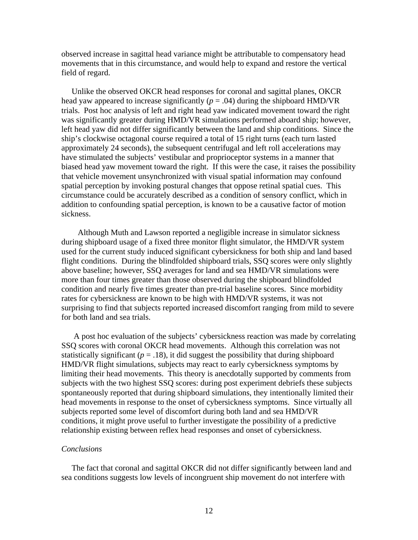observed increase in sagittal head variance might be attributable to compensatory head movements that in this circumstance, and would help to expand and restore the vertical field of regard.

 Unlike the observed OKCR head responses for coronal and sagittal planes, OKCR head yaw appeared to increase significantly ( $p = .04$ ) during the shipboard HMD/VR trials. Post hoc analysis of left and right head yaw indicated movement toward the right was significantly greater during HMD/VR simulations performed aboard ship; however, left head yaw did not differ significantly between the land and ship conditions. Since the ship's clockwise octagonal course required a total of 15 right turns (each turn lasted approximately 24 seconds), the subsequent centrifugal and left roll accelerations may have stimulated the subjects' vestibular and proprioceptor systems in a manner that biased head yaw movement toward the right. If this were the case, it raises the possibility that vehicle movement unsynchronized with visual spatial information may confound spatial perception by invoking postural changes that oppose retinal spatial cues. This circumstance could be accurately described as a condition of sensory conflict, which in addition to confounding spatial perception, is known to be a causative factor of motion sickness.

 Although Muth and Lawson reported a negligible increase in simulator sickness during shipboard usage of a fixed three monitor flight simulator, the HMD/VR system used for the current study induced significant cybersickness for both ship and land based flight conditions. During the blindfolded shipboard trials, SSQ scores were only slightly above baseline; however, SSQ averages for land and sea HMD/VR simulations were more than four times greater than those observed during the shipboard blindfolded condition and nearly five times greater than pre-trial baseline scores. Since morbidity rates for cybersickness are known to be high with HMD/VR systems, it was not surprising to find that subjects reported increased discomfort ranging from mild to severe for both land and sea trials.

 A post hoc evaluation of the subjects' cybersickness reaction was made by correlating SSQ scores with coronal OKCR head movements. Although this correlation was not statistically significant  $(p = .18)$ , it did suggest the possibility that during shipboard HMD/VR flight simulations, subjects may react to early cybersickness symptoms by limiting their head movements. This theory is anecdotally supported by comments from subjects with the two highest SSQ scores: during post experiment debriefs these subjects spontaneously reported that during shipboard simulations, they intentionally limited their head movements in response to the onset of cybersickness symptoms. Since virtually all subjects reported some level of discomfort during both land and sea HMD/VR conditions, it might prove useful to further investigate the possibility of a predictive relationship existing between reflex head responses and onset of cybersickness.

#### *Conclusions*

 The fact that coronal and sagittal OKCR did not differ significantly between land and sea conditions suggests low levels of incongruent ship movement do not interfere with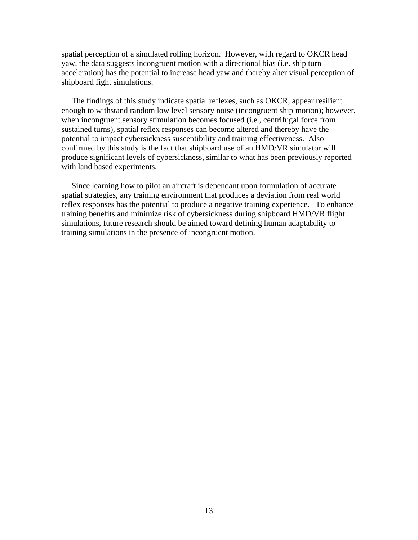spatial perception of a simulated rolling horizon. However, with regard to OKCR head yaw, the data suggests incongruent motion with a directional bias (i.e. ship turn acceleration) has the potential to increase head yaw and thereby alter visual perception of shipboard fight simulations.

 The findings of this study indicate spatial reflexes, such as OKCR, appear resilient enough to withstand random low level sensory noise (incongruent ship motion); however, when incongruent sensory stimulation becomes focused (i.e., centrifugal force from sustained turns), spatial reflex responses can become altered and thereby have the potential to impact cybersickness susceptibility and training effectiveness. Also confirmed by this study is the fact that shipboard use of an HMD/VR simulator will produce significant levels of cybersickness, similar to what has been previously reported with land based experiments.

 Since learning how to pilot an aircraft is dependant upon formulation of accurate spatial strategies, any training environment that produces a deviation from real world reflex responses has the potential to produce a negative training experience. To enhance training benefits and minimize risk of cybersickness during shipboard HMD/VR flight simulations, future research should be aimed toward defining human adaptability to training simulations in the presence of incongruent motion.